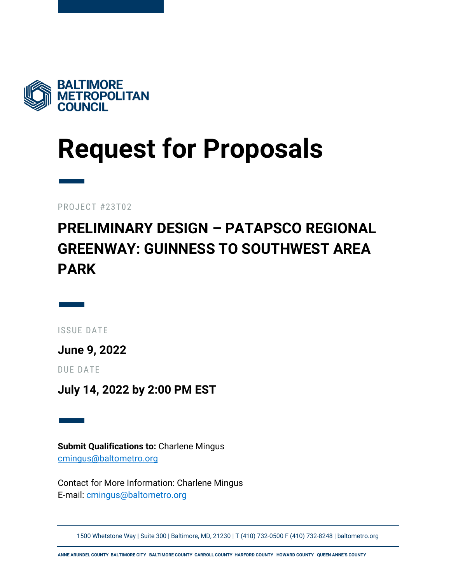

## **Request for Proposals**

— PROJECT #23T02

### **PRELIMINARY DESIGN – PATAPSCO REGIONAL GREENWAY: GUINNESS TO SOUTHWEST AREA PARK**

— ISSUE DATE

**June 9, 2022**

DUE DATE

**July 14, 2022 by 2:00 PM EST**

— **Submit Qualifications to:** Charlene Mingus [cmingus@baltometro.org](mailto:cmingus@baltometro.org)

Contact for More Information: Charlene Mingus E-mail: [cmingus@baltometro.org](mailto:cmingus@baltometro.org)

1500 Whetstone Way | Suite 300 | Baltimore, MD, 21230 | T (410) 732-0500 F (410) 732-8248 | baltometro.org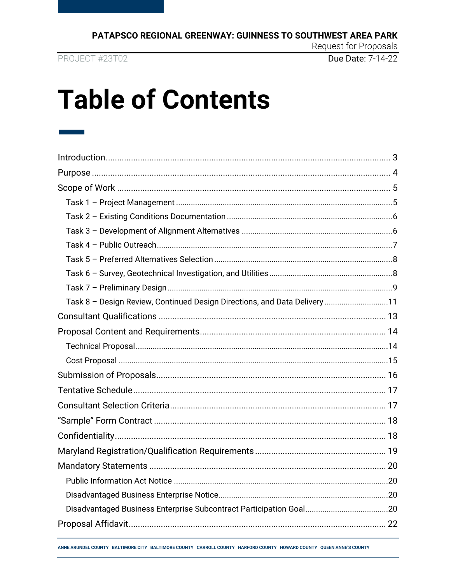PROJECT #23T02

Due Date: 7-14-22

Request for Proposals

### **Table of Contents**

| Task 8 - Design Review, Continued Design Directions, and Data Delivery 11 |  |
|---------------------------------------------------------------------------|--|
|                                                                           |  |
|                                                                           |  |
|                                                                           |  |
|                                                                           |  |
|                                                                           |  |
|                                                                           |  |
|                                                                           |  |
|                                                                           |  |
|                                                                           |  |
|                                                                           |  |
|                                                                           |  |
|                                                                           |  |
|                                                                           |  |
|                                                                           |  |
|                                                                           |  |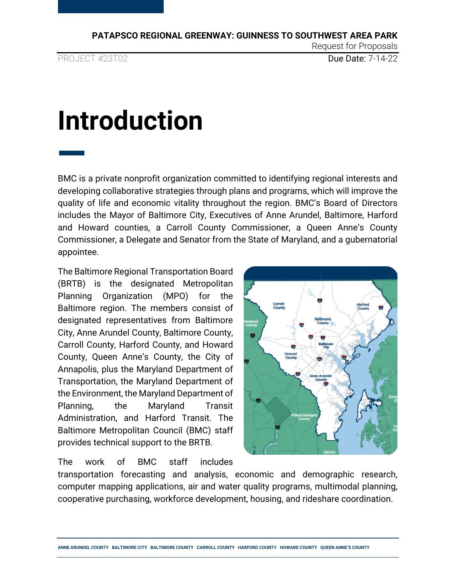—

PROJECT #23T02 **Due Date: 7-14-22** 

Request for Proposals

### <span id="page-2-0"></span>**Introduction**

BMC is a private nonprofit organization committed to identifying regional interests and developing collaborative strategies through plans and programs, which will improve the quality of life and economic vitality throughout the region. BMC's Board of Directors includes the Mayor of Baltimore City, Executives of Anne Arundel, Baltimore, Harford and Howard counties, a Carroll County Commissioner, a Queen Anne's County Commissioner, a Delegate and Senator from the State of Maryland, and a gubernatorial appointee.

The Baltimore Regional Transportation Board (BRTB) is the designated Metropolitan Planning Organization (MPO) for the Baltimore region. The members consist of designated representatives from Baltimore City, Anne Arundel County, Baltimore County, Carroll County, Harford County, and Howard County, Queen Anne's County, the City of Annapolis, plus the Maryland Department of Transportation, the Maryland Department of the Environment, the Maryland Department of Planning, the Maryland Transit Administration, and Harford Transit. The Baltimore Metropolitan Council (BMC) staff provides technical support to the BRTB.

The work of BMC staff includes



transportation forecasting and analysis, economic and demographic research, computer mapping applications, air and water quality programs, multimodal planning, cooperative purchasing, workforce development, housing, and rideshare coordination.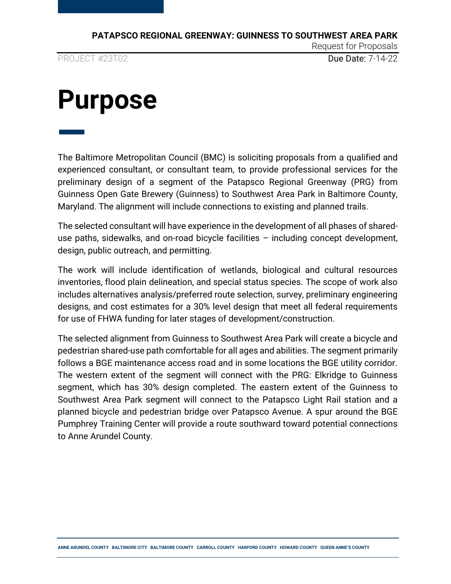—

PROJECT #23T02 **Due Date: 7-14-22** 

Request for Proposals

### <span id="page-3-0"></span>**Purpose**

The Baltimore Metropolitan Council (BMC) is soliciting proposals from a qualified and experienced consultant, or consultant team, to provide professional services for the preliminary design of a segment of the Patapsco Regional Greenway (PRG) from Guinness Open Gate Brewery (Guinness) to Southwest Area Park in Baltimore County, Maryland. The alignment will include connections to existing and planned trails.

The selected consultant will have experience in the development of all phases of shareduse paths, sidewalks, and on-road bicycle facilities – including concept development, design, public outreach, and permitting.

The work will include identification of wetlands, biological and cultural resources inventories, flood plain delineation, and special status species. The scope of work also includes alternatives analysis/preferred route selection, survey, preliminary engineering designs, and cost estimates for a 30% level design that meet all federal requirements for use of FHWA funding for later stages of development/construction.

The selected alignment from Guinness to Southwest Area Park will create a bicycle and pedestrian shared-use path comfortable for all ages and abilities. The segment primarily follows a BGE maintenance access road and in some locations the BGE utility corridor. The western extent of the segment will connect with the PRG: Elkridge to Guinness segment, which has 30% design completed. The eastern extent of the Guinness to Southwest Area Park segment will connect to the Patapsco Light Rail station and a planned bicycle and pedestrian bridge over Patapsco Avenue. A spur around the BGE Pumphrey Training Center will provide a route southward toward potential connections to Anne Arundel County.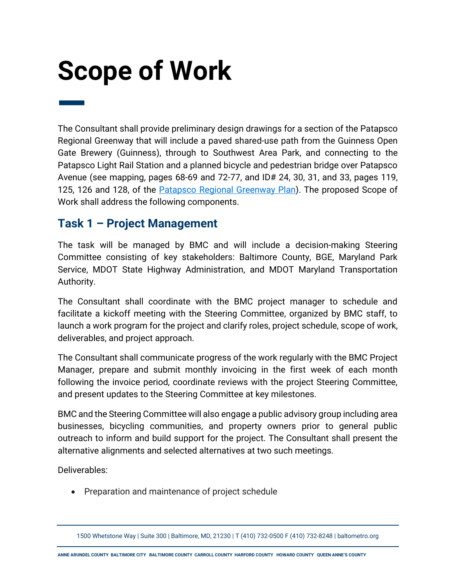# <span id="page-4-0"></span>**Scope of Work**

— The Consultant shall provide preliminary design drawings for a section of the Patapsco Regional Greenway that will include a paved shared-use path from the Guinness Open Gate Brewery (Guinness), through to Southwest Area Park, and connecting to the Patapsco Light Rail Station and a planned bicycle and pedestrian bridge over Patapsco Avenue (see mapping, pages 68-69 and 72-77, and ID# 24, 30, 31, and 33, pages 119, 125, 126 and 128, of the **Patapsco Regional Greenway Plan**). The proposed Scope of Work shall address the following components.

#### <span id="page-4-1"></span>**Task 1 – Project Management**

The task will be managed by BMC and will include a decision-making Steering Committee consisting of key stakeholders: Baltimore County, BGE, Maryland Park Service, MDOT State Highway Administration, and MDOT Maryland Transportation Authority.

The Consultant shall coordinate with the BMC project manager to schedule and facilitate a kickoff meeting with the Steering Committee, organized by BMC staff, to launch a work program for the project and clarify roles, project schedule, scope of work, deliverables, and project approach.

The Consultant shall communicate progress of the work regularly with the BMC Project Manager, prepare and submit monthly invoicing in the first week of each month following the invoice period, coordinate reviews with the project Steering Committee, and present updates to the Steering Committee at key milestones.

BMC and the Steering Committee will also engage a public advisory group including area businesses, bicycling communities, and property owners prior to general public outreach to inform and build support for the project. The Consultant shall present the alternative alignments and selected alternatives at two such meetings.

Deliverables:

• Preparation and maintenance of project schedule

<sup>1500</sup> Whetstone Way | Suite 300 | Baltimore, MD, 21230 | T (410) 732-0500 F (410) 732-8248 | baltometro.org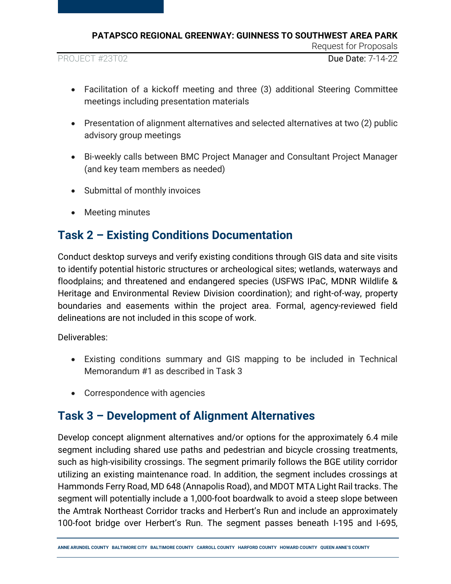PROJECT #23T02 **Due Date: 7-14-22** 

Request for Proposals

- Facilitation of a kickoff meeting and three (3) additional Steering Committee meetings including presentation materials
- Presentation of alignment alternatives and selected alternatives at two (2) public advisory group meetings
- Bi-weekly calls between BMC Project Manager and Consultant Project Manager (and key team members as needed)
- Submittal of monthly invoices
- Meeting minutes

#### <span id="page-5-0"></span>**Task 2 – Existing Conditions Documentation**

Conduct desktop surveys and verify existing conditions through GIS data and site visits to identify potential historic structures or archeological sites; wetlands, waterways and floodplains; and threatened and endangered species (USFWS IPaC, MDNR Wildlife & Heritage and Environmental Review Division coordination); and right-of-way, property boundaries and easements within the project area. Formal, agency-reviewed field delineations are not included in this scope of work.

Deliverables:

- Existing conditions summary and GIS mapping to be included in Technical Memorandum #1 as described in Task 3
- Correspondence with agencies

#### <span id="page-5-1"></span>**Task 3 – Development of Alignment Alternatives**

Develop concept alignment alternatives and/or options for the approximately 6.4 mile segment including shared use paths and pedestrian and bicycle crossing treatments, such as high-visibility crossings. The segment primarily follows the BGE utility corridor utilizing an existing maintenance road. In addition, the segment includes crossings at Hammonds Ferry Road, MD 648 (Annapolis Road), and MDOT MTA Light Rail tracks. The segment will potentially include a 1,000-foot boardwalk to avoid a steep slope between the Amtrak Northeast Corridor tracks and Herbert's Run and include an approximately 100-foot bridge over Herbert's Run. The segment passes beneath I-195 and I-695,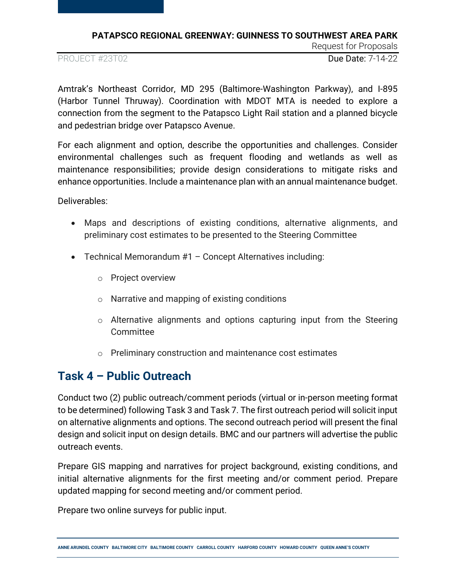PROJECT #23T02 **Due Date: 7-14-22** 

Request for Proposals

Amtrak's Northeast Corridor, MD 295 (Baltimore-Washington Parkway), and I-895 (Harbor Tunnel Thruway). Coordination with MDOT MTA is needed to explore a connection from the segment to the Patapsco Light Rail station and a planned bicycle and pedestrian bridge over Patapsco Avenue.

For each alignment and option, describe the opportunities and challenges. Consider environmental challenges such as frequent flooding and wetlands as well as maintenance responsibilities; provide design considerations to mitigate risks and enhance opportunities. Include a maintenance plan with an annual maintenance budget.

Deliverables:

- Maps and descriptions of existing conditions, alternative alignments, and preliminary cost estimates to be presented to the Steering Committee
- Technical Memorandum #1 Concept Alternatives including:
	- o Project overview
	- o Narrative and mapping of existing conditions
	- o Alternative alignments and options capturing input from the Steering Committee
	- o Preliminary construction and maintenance cost estimates

### <span id="page-6-0"></span>**Task 4 – Public Outreach**

Conduct two (2) public outreach/comment periods (virtual or in-person meeting format to be determined) following Task 3 and Task 7. The first outreach period will solicit input on alternative alignments and options. The second outreach period will present the final design and solicit input on design details. BMC and our partners will advertise the public outreach events.

Prepare GIS mapping and narratives for project background, existing conditions, and initial alternative alignments for the first meeting and/or comment period. Prepare updated mapping for second meeting and/or comment period.

Prepare two online surveys for public input.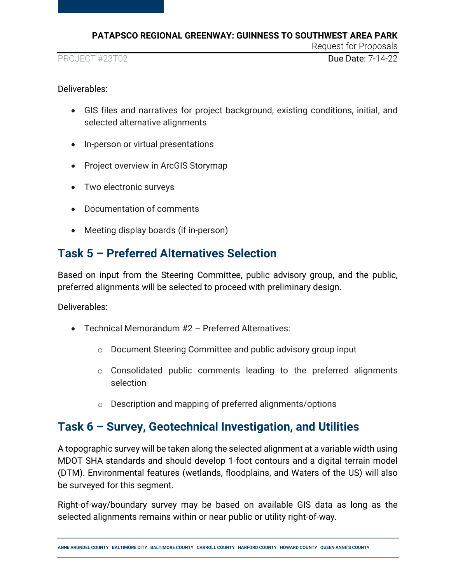PROJECT #23T02 **Due Date: 7-14-22** 

Request for Proposals

Deliverables:

- GIS files and narratives for project background, existing conditions, initial, and selected alternative alignments
- In-person or virtual presentations
- Project overview in ArcGIS Storymap
- Two electronic surveys
- Documentation of comments
- Meeting display boards (if in-person)

### <span id="page-7-0"></span>**Task 5 – Preferred Alternatives Selection**

Based on input from the Steering Committee, public advisory group, and the public, preferred alignments will be selected to proceed with preliminary design.

Deliverables:

- Technical Memorandum #2 Preferred Alternatives:
	- o Document Steering Committee and public advisory group input
	- o Consolidated public comments leading to the preferred alignments selection
	- o Description and mapping of preferred alignments/options

### <span id="page-7-1"></span>**Task 6 – Survey, Geotechnical Investigation, and Utilities**

A topographic survey will be taken along the selected alignment at a variable width using MDOT SHA standards and should develop 1-foot contours and a digital terrain model (DTM). Environmental features (wetlands, floodplains, and Waters of the US) will also be surveyed for this segment.

Right-of-way/boundary survey may be based on available GIS data as long as the selected alignments remains within or near public or utility right-of-way.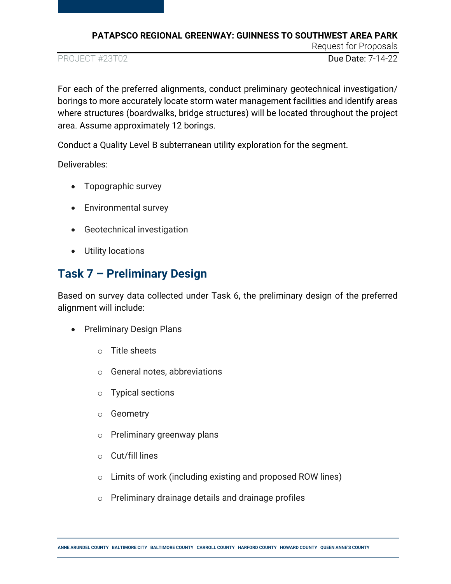PROJECT #23T02 **Due Date: 7-14-22** 

Request for Proposals

For each of the preferred alignments, conduct preliminary geotechnical investigation/ borings to more accurately locate storm water management facilities and identify areas where structures (boardwalks, bridge structures) will be located throughout the project area. Assume approximately 12 borings.

Conduct a Quality Level B subterranean utility exploration for the segment.

Deliverables:

- Topographic survey
- Environmental survey
- Geotechnical investigation
- Utility locations

### <span id="page-8-0"></span>**Task 7 – Preliminary Design**

Based on survey data collected under Task 6, the preliminary design of the preferred alignment will include:

- Preliminary Design Plans
	- $\circ$  Title sheets
	- o General notes, abbreviations
	- o Typical sections
	- o Geometry
	- o Preliminary greenway plans
	- o Cut/fill lines
	- o Limits of work (including existing and proposed ROW lines)
	- o Preliminary drainage details and drainage profiles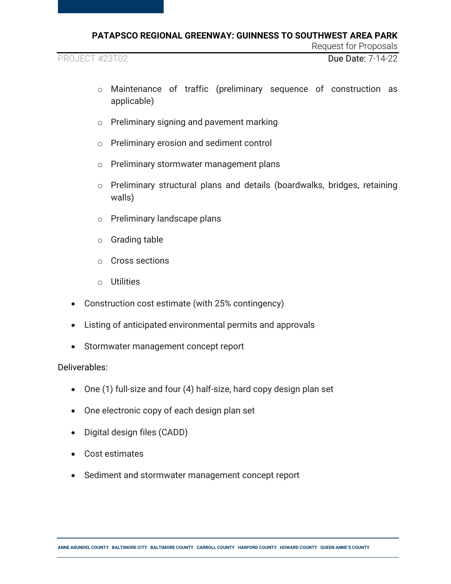PROJECT #23T02 **Due Date: 7-14-22** 

Request for Proposals

- o Maintenance of traffic (preliminary sequence of construction as applicable)
- o Preliminary signing and pavement marking
- o Preliminary erosion and sediment control
- o Preliminary stormwater management plans
- o Preliminary structural plans and details (boardwalks, bridges, retaining walls)
- o Preliminary landscape plans
- o Grading table
- o Cross sections
- o Utilities
- Construction cost estimate (with 25% contingency)
- Listing of anticipated environmental permits and approvals
- Stormwater management concept report

#### Deliverables:

- One (1) full-size and four (4) half-size, hard copy design plan set
- One electronic copy of each design plan set
- Digital design files (CADD)
- Cost estimates
- Sediment and stormwater management concept report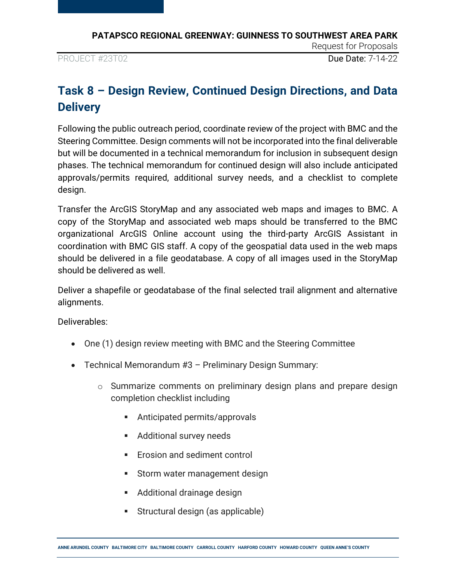PROJECT #23T02 **Due Date: 7-14-22** 

Request for Proposals

### <span id="page-10-0"></span>**Task 8 – Design Review, Continued Design Directions, and Data Delivery**

Following the public outreach period, coordinate review of the project with BMC and the Steering Committee. Design comments will not be incorporated into the final deliverable but will be documented in a technical memorandum for inclusion in subsequent design phases. The technical memorandum for continued design will also include anticipated approvals/permits required, additional survey needs, and a checklist to complete design.

Transfer the ArcGIS StoryMap and any associated web maps and images to BMC. A copy of the StoryMap and associated web maps should be transferred to the BMC organizational ArcGIS Online account using the third-party ArcGIS Assistant in coordination with BMC GIS staff. A copy of the geospatial data used in the web maps should be delivered in a file geodatabase. A copy of all images used in the StoryMap should be delivered as well.

Deliver a shapefile or geodatabase of the final selected trail alignment and alternative alignments.

Deliverables:

- One (1) design review meeting with BMC and the Steering Committee
- Technical Memorandum #3 Preliminary Design Summary:
	- o Summarize comments on preliminary design plans and prepare design completion checklist including
		- **EXECUTE:** Anticipated permits/approvals
		- **Additional survey needs**
		- **Erosion and sediment control**
		- **Storm water management design**
		- Additional drainage design
		- **Structural design (as applicable)**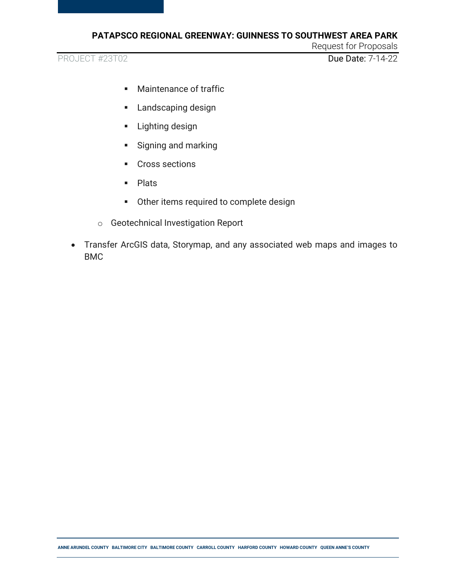PROJECT #23T02 Due Date: 7-14-22

Request for Proposals

- **Maintenance of traffic**
- **Landscaping design**
- **Lighting design**
- **Signing and marking**
- **Cross sections**
- Plats
- Other items required to complete design
- o Geotechnical Investigation Report
- Transfer ArcGIS data, Storymap, and any associated web maps and images to BMC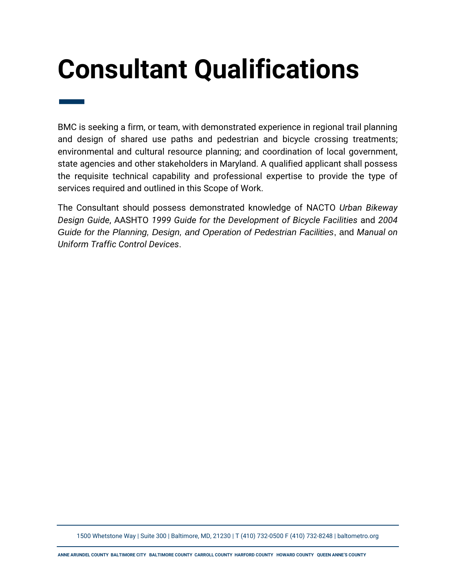# <span id="page-12-0"></span>**Consultant Qualifications**

— BMC is seeking a firm, or team, with demonstrated experience in regional trail planning and design of shared use paths and pedestrian and bicycle crossing treatments; environmental and cultural resource planning; and coordination of local government, state agencies and other stakeholders in Maryland. A qualified applicant shall possess the requisite technical capability and professional expertise to provide the type of services required and outlined in this Scope of Work.

The Consultant should possess demonstrated knowledge of NACTO *Urban Bikeway Design Guide*, AASHTO *1999 Guide for the Development of Bicycle Facilities* and *2004 Guide for the Planning, Design, and Operation of Pedestrian Facilities*, and *Manual on Uniform Traffic Control Devices*.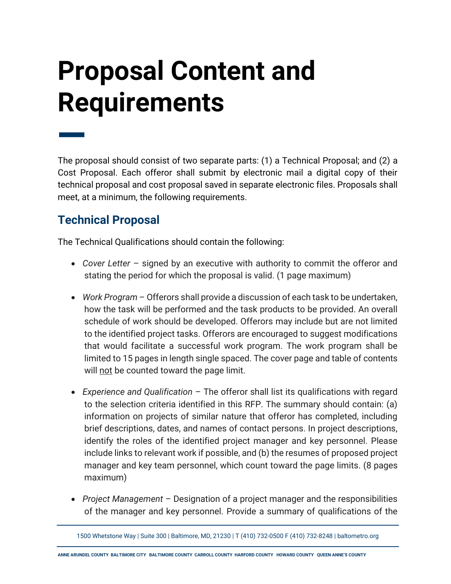# <span id="page-13-0"></span>**Proposal Content and Requirements**

— The proposal should consist of two separate parts: (1) a Technical Proposal; and (2) a Cost Proposal. Each offeror shall submit by electronic mail a digital copy of their technical proposal and cost proposal saved in separate electronic files. Proposals shall meet, at a minimum, the following requirements.

### <span id="page-13-1"></span>**Technical Proposal**

The Technical Qualifications should contain the following:

- *Cover Letter*  signed by an executive with authority to commit the offeror and stating the period for which the proposal is valid. (1 page maximum)
- *Work Program* Offerors shall provide a discussion of each task to be undertaken, how the task will be performed and the task products to be provided. An overall schedule of work should be developed. Offerors may include but are not limited to the identified project tasks. Offerors are encouraged to suggest modifications that would facilitate a successful work program. The work program shall be limited to 15 pages in length single spaced. The cover page and table of contents will not be counted toward the page limit.
- *Experience and Qualification* The offeror shall list its qualifications with regard to the selection criteria identified in this RFP. The summary should contain: (a) information on projects of similar nature that offeror has completed, including brief descriptions, dates, and names of contact persons. In project descriptions, identify the roles of the identified project manager and key personnel. Please include links to relevant work if possible, and (b) the resumes of proposed project manager and key team personnel, which count toward the page limits. (8 pages maximum)
- *Project Management*  Designation of a project manager and the responsibilities of the manager and key personnel. Provide a summary of qualifications of the

<sup>1500</sup> Whetstone Way | Suite 300 | Baltimore, MD, 21230 | T (410) 732-0500 F (410) 732-8248 | baltometro.org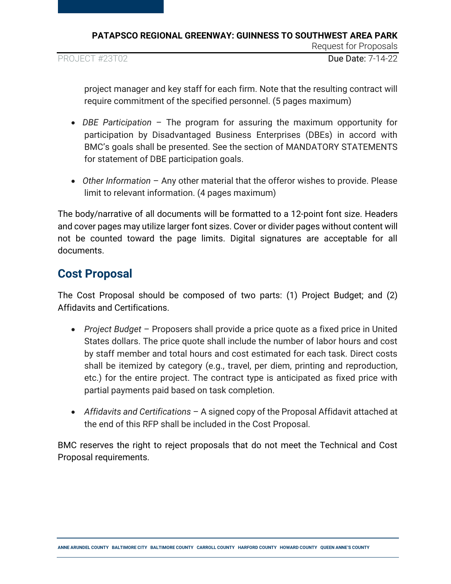PROJECT #23T02 **Due Date: 7-14-22** 

Request for Proposals

project manager and key staff for each firm. Note that the resulting contract will require commitment of the specified personnel. (5 pages maximum)

- *DBE Participation*  The program for assuring the maximum opportunity for participation by Disadvantaged Business Enterprises (DBEs) in accord with BMC's goals shall be presented. See the section of MANDATORY STATEMENTS for statement of DBE participation goals.
- *Other Information* Any other material that the offeror wishes to provide. Please limit to relevant information. (4 pages maximum)

The body/narrative of all documents will be formatted to a 12-point font size. Headers and cover pages may utilize larger font sizes. Cover or divider pages without content will not be counted toward the page limits. Digital signatures are acceptable for all documents.

#### <span id="page-14-0"></span>**Cost Proposal**

The Cost Proposal should be composed of two parts: (1) Project Budget; and (2) Affidavits and Certifications.

- *Project Budget* Proposers shall provide a price quote as a fixed price in United States dollars. The price quote shall include the number of labor hours and cost by staff member and total hours and cost estimated for each task. Direct costs shall be itemized by category (e.g., travel, per diem, printing and reproduction, etc.) for the entire project. The contract type is anticipated as fixed price with partial payments paid based on task completion.
- *Affidavits and Certifications* A signed copy of the Proposal Affidavit attached at the end of this RFP shall be included in the Cost Proposal.

BMC reserves the right to reject proposals that do not meet the Technical and Cost Proposal requirements.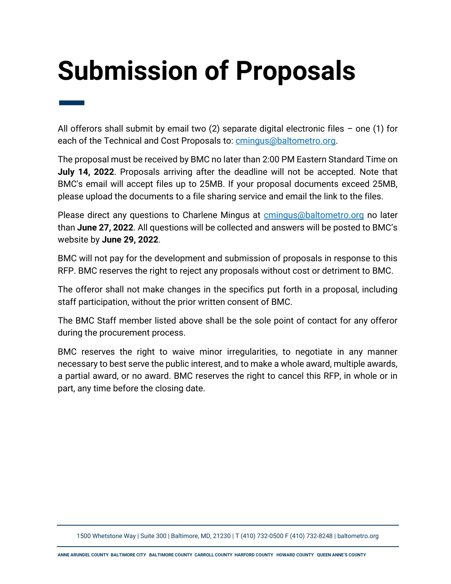# <span id="page-15-0"></span>**Submission of Proposals**

— All offerors shall submit by email two  $(2)$  separate digital electronic files – one  $(1)$  for each of the Technical and Cost Proposals to: [cmingus@baltometro.org.](mailto:cmingus@baltometro.org)

The proposal must be received by BMC no later than 2:00 PM Eastern Standard Time on **July 14, 2022**. Proposals arriving after the deadline will not be accepted. Note that BMC's email will accept files up to 25MB. If your proposal documents exceed 25MB, please upload the documents to a file sharing service and email the link to the files.

Please direct any questions to Charlene Mingus at [cmingus@baltometro.org](mailto:cmingus@baltometro.org) no later than **June 27, 2022**. All questions will be collected and answers will be posted to BMC's website by **June 29, 2022**.

BMC will not pay for the development and submission of proposals in response to this RFP. BMC reserves the right to reject any proposals without cost or detriment to BMC.

The offeror shall not make changes in the specifics put forth in a proposal, including staff participation, without the prior written consent of BMC.

The BMC Staff member listed above shall be the sole point of contact for any offeror during the procurement process.

BMC reserves the right to waive minor irregularities, to negotiate in any manner necessary to best serve the public interest, and to make a whole award, multiple awards, a partial award, or no award. BMC reserves the right to cancel this RFP, in whole or in part, any time before the closing date.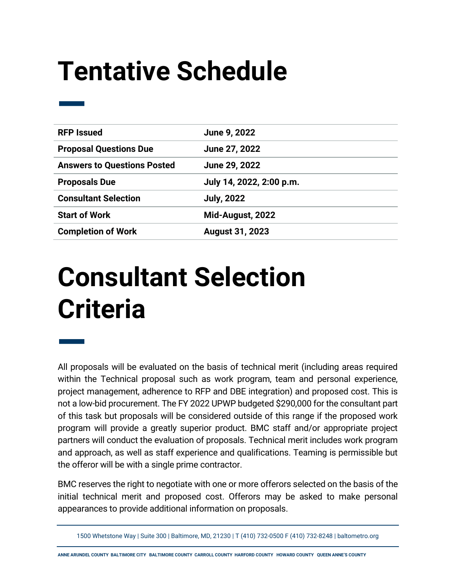## <span id="page-16-0"></span>**Tentative Schedule**

| <b>RFP Issued</b>                  | June 9, 2022             |
|------------------------------------|--------------------------|
| <b>Proposal Questions Due</b>      | June 27, 2022            |
| <b>Answers to Questions Posted</b> | June 29, 2022            |
| <b>Proposals Due</b>               | July 14, 2022, 2:00 p.m. |
| <b>Consultant Selection</b>        | <b>July, 2022</b>        |
| <b>Start of Work</b>               | Mid-August, 2022         |
| <b>Completion of Work</b>          | <b>August 31, 2023</b>   |

### <span id="page-16-1"></span>**Consultant Selection Criteria**

—

All proposals will be evaluated on the basis of technical merit (including areas required within the Technical proposal such as work program, team and personal experience, project management, adherence to RFP and DBE integration) and proposed cost. This is not a low-bid procurement. The FY 2022 UPWP budgeted \$290,000 for the consultant part of this task but proposals will be considered outside of this range if the proposed work program will provide a greatly superior product. BMC staff and/or appropriate project partners will conduct the evaluation of proposals. Technical merit includes work program and approach, as well as staff experience and qualifications. Teaming is permissible but the offeror will be with a single prime contractor.

BMC reserves the right to negotiate with one or more offerors selected on the basis of the initial technical merit and proposed cost. Offerors may be asked to make personal appearances to provide additional information on proposals.

1500 Whetstone Way | Suite 300 | Baltimore, MD, 21230 | T (410) 732-0500 F (410) 732-8248 | baltometro.org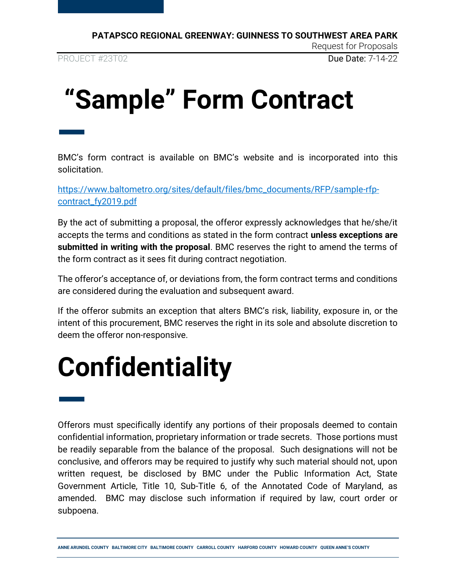PROJECT #23T02 **Due Date: 7-14-22** 

# <span id="page-17-0"></span>**"Sample" Form Contract**

— BMC's form contract is available on BMC's website and is incorporated into this solicitation.

[https://www.baltometro.org/sites/default/files/bmc\\_documents/RFP/sample-rfp](https://www.baltometro.org/sites/default/files/bmc_documents/RFP/sample-rfp-contract_fy2019.pdf)[contract\\_fy2019.pdf](https://www.baltometro.org/sites/default/files/bmc_documents/RFP/sample-rfp-contract_fy2019.pdf)

By the act of submitting a proposal, the offeror expressly acknowledges that he/she/it accepts the terms and conditions as stated in the form contract **unless exceptions are submitted in writing with the proposal**. BMC reserves the right to amend the terms of the form contract as it sees fit during contract negotiation.

The offeror's acceptance of, or deviations from, the form contract terms and conditions are considered during the evaluation and subsequent award.

If the offeror submits an exception that alters BMC's risk, liability, exposure in, or the intent of this procurement, BMC reserves the right in its sole and absolute discretion to deem the offeror non-responsive.

## <span id="page-17-1"></span>**Confidentiality**

— Offerors must specifically identify any portions of their proposals deemed to contain confidential information, proprietary information or trade secrets. Those portions must be readily separable from the balance of the proposal. Such designations will not be conclusive, and offerors may be required to justify why such material should not, upon written request, be disclosed by BMC under the Public Information Act, State Government Article, Title 10, Sub-Title 6, of the Annotated Code of Maryland, as amended. BMC may disclose such information if required by law, court order or subpoena.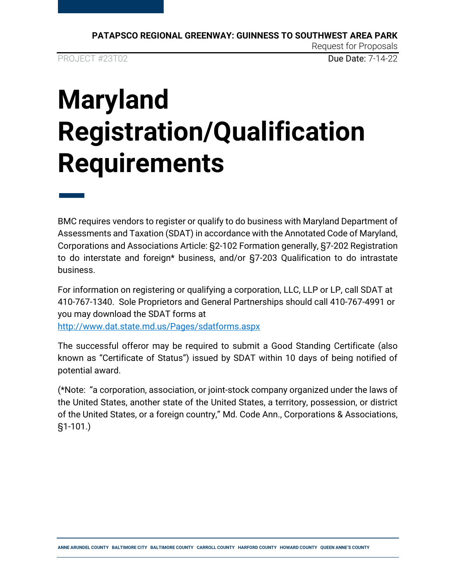**PATAPSCO REGIONAL GREENWAY: GUINNESS TO SOUTHWEST AREA PARK** Request for Proposals PROJECT #23T02 **Due Date: 7-14-22** 

# <span id="page-18-0"></span>**Maryland Registration/Qualification Requirements**

— BMC requires vendors to register or qualify to do business with Maryland Department of Assessments and Taxation (SDAT) in accordance with the Annotated Code of Maryland, Corporations and Associations Article: §2-102 Formation generally, §7-202 Registration to do interstate and foreign\* business, and/or §7-203 Qualification to do intrastate business.

For information on registering or qualifying a corporation, LLC, LLP or LP, call SDAT at 410-767-1340. Sole Proprietors and General Partnerships should call 410-767-4991 or you may download the SDAT forms at <http://www.dat.state.md.us/Pages/sdatforms.aspx>

The successful offeror may be required to submit a Good Standing Certificate (also known as "Certificate of Status") issued by SDAT within 10 days of being notified of potential award.

(\*Note: "a corporation, association, or joint-stock company organized under the laws of the United States, another state of the United States, a territory, possession, or district of the United States, or a foreign country," Md. Code Ann., Corporations & Associations, §1-101.)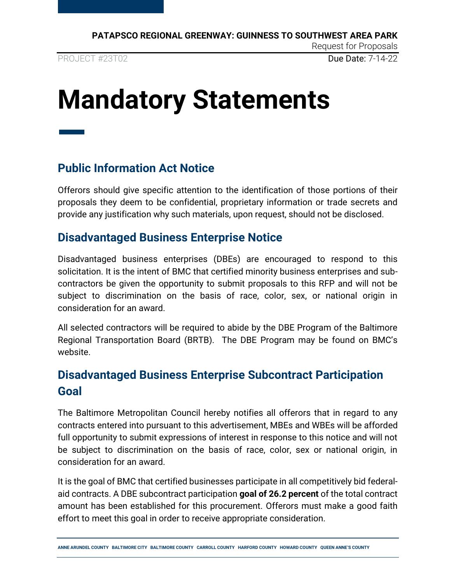### <span id="page-19-0"></span>**Mandatory Statements**

### <span id="page-19-1"></span>**Public Information Act Notice**

—

Offerors should give specific attention to the identification of those portions of their proposals they deem to be confidential, proprietary information or trade secrets and provide any justification why such materials, upon request, should not be disclosed.

#### <span id="page-19-2"></span>**Disadvantaged Business Enterprise Notice**

Disadvantaged business enterprises (DBEs) are encouraged to respond to this solicitation. It is the intent of BMC that certified minority business enterprises and subcontractors be given the opportunity to submit proposals to this RFP and will not be subject to discrimination on the basis of race, color, sex, or national origin in consideration for an award.

All selected contractors will be required to abide by the DBE Program of the Baltimore Regional Transportation Board (BRTB). The DBE Program may be found on BMC's website.

### <span id="page-19-3"></span>**Disadvantaged Business Enterprise Subcontract Participation Goal**

The Baltimore Metropolitan Council hereby notifies all offerors that in regard to any contracts entered into pursuant to this advertisement, MBEs and WBEs will be afforded full opportunity to submit expressions of interest in response to this notice and will not be subject to discrimination on the basis of race, color, sex or national origin, in consideration for an award.

It is the goal of BMC that certified businesses participate in all competitively bid federalaid contracts. A DBE subcontract participation **goal of 26.2 percent** of the total contract amount has been established for this procurement. Offerors must make a good faith effort to meet this goal in order to receive appropriate consideration.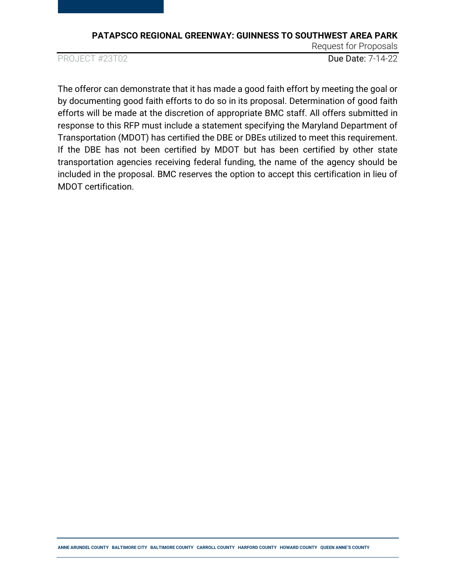PROJECT #23T02 **Due Date: 7-14-22** 

Request for Proposals

The offeror can demonstrate that it has made a good faith effort by meeting the goal or by documenting good faith efforts to do so in its proposal. Determination of good faith efforts will be made at the discretion of appropriate BMC staff. All offers submitted in response to this RFP must include a statement specifying the Maryland Department of Transportation (MDOT) has certified the DBE or DBEs utilized to meet this requirement. If the DBE has not been certified by MDOT but has been certified by other state transportation agencies receiving federal funding, the name of the agency should be included in the proposal. BMC reserves the option to accept this certification in lieu of MDOT certification.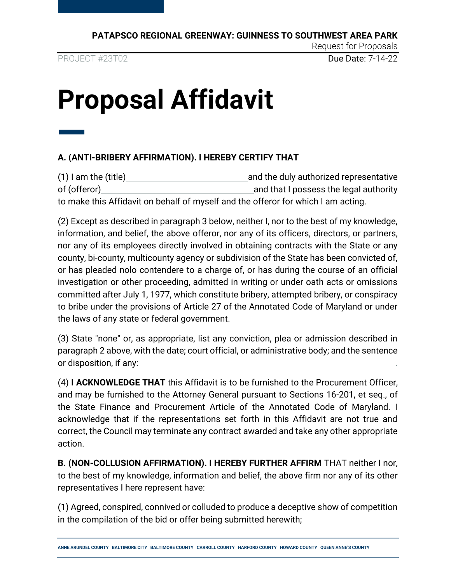PROJECT #23T02 **Due Date: 7-14-22** 

Request for Proposals

## <span id="page-21-0"></span>**Proposal Affidavit**

### — **A. (ANTI-BRIBERY AFFIRMATION). I HEREBY CERTIFY THAT**

(1) I am the (title) and the duly authorized representative of (offeror) and that I possess the legal authority of (offeror) to make this Affidavit on behalf of myself and the offeror for which I am acting.

(2) Except as described in paragraph 3 below, neither I, nor to the best of my knowledge, information, and belief, the above offeror, nor any of its officers, directors, or partners, nor any of its employees directly involved in obtaining contracts with the State or any county, bi-county, multicounty agency or subdivision of the State has been convicted of, or has pleaded nolo contendere to a charge of, or has during the course of an official investigation or other proceeding, admitted in writing or under oath acts or omissions committed after July 1, 1977, which constitute bribery, attempted bribery, or conspiracy to bribe under the provisions of Article 27 of the Annotated Code of Maryland or under the laws of any state or federal government.

(3) State "none" or, as appropriate, list any conviction, plea or admission described in paragraph 2 above, with the date; court official, or administrative body; and the sentence or disposition, if any: .

(4) **I ACKNOWLEDGE THAT** this Affidavit is to be furnished to the Procurement Officer, and may be furnished to the Attorney General pursuant to Sections 16-201, et seq., of the State Finance and Procurement Article of the Annotated Code of Maryland. I acknowledge that if the representations set forth in this Affidavit are not true and correct, the Council may terminate any contract awarded and take any other appropriate action.

**B. (NON-COLLUSION AFFIRMATION). I HEREBY FURTHER AFFIRM** THAT neither I nor, to the best of my knowledge, information and belief, the above firm nor any of its other representatives I here represent have:

(1) Agreed, conspired, connived or colluded to produce a deceptive show of competition in the compilation of the bid or offer being submitted herewith;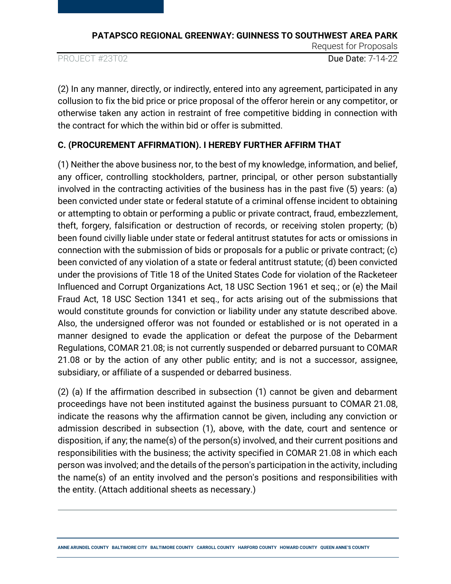PROJECT #23T02 Due Date: 7-14-22

Request for Proposals

(2) In any manner, directly, or indirectly, entered into any agreement, participated in any collusion to fix the bid price or price proposal of the offeror herein or any competitor, or otherwise taken any action in restraint of free competitive bidding in connection with the contract for which the within bid or offer is submitted.

#### **C. (PROCUREMENT AFFIRMATION). I HEREBY FURTHER AFFIRM THAT**

(1) Neither the above business nor, to the best of my knowledge, information, and belief, any officer, controlling stockholders, partner, principal, or other person substantially involved in the contracting activities of the business has in the past five (5) years: (a) been convicted under state or federal statute of a criminal offense incident to obtaining or attempting to obtain or performing a public or private contract, fraud, embezzlement, theft, forgery, falsification or destruction of records, or receiving stolen property; (b) been found civilly liable under state or federal antitrust statutes for acts or omissions in connection with the submission of bids or proposals for a public or private contract; (c) been convicted of any violation of a state or federal antitrust statute; (d) been convicted under the provisions of Title 18 of the United States Code for violation of the Racketeer Influenced and Corrupt Organizations Act, 18 USC Section 1961 et seq.; or (e) the Mail Fraud Act, 18 USC Section 1341 et seq., for acts arising out of the submissions that would constitute grounds for conviction or liability under any statute described above. Also, the undersigned offeror was not founded or established or is not operated in a manner designed to evade the application or defeat the purpose of the Debarment Regulations, COMAR 21.08; is not currently suspended or debarred pursuant to COMAR 21.08 or by the action of any other public entity; and is not a successor, assignee, subsidiary, or affiliate of a suspended or debarred business.

(2) (a) If the affirmation described in subsection (1) cannot be given and debarment proceedings have not been instituted against the business pursuant to COMAR 21.08, indicate the reasons why the affirmation cannot be given, including any conviction or admission described in subsection (1), above, with the date, court and sentence or disposition, if any; the name(s) of the person(s) involved, and their current positions and responsibilities with the business; the activity specified in COMAR 21.08 in which each person was involved; and the details of the person's participation in the activity, including the name(s) of an entity involved and the person's positions and responsibilities with the entity. (Attach additional sheets as necessary.)